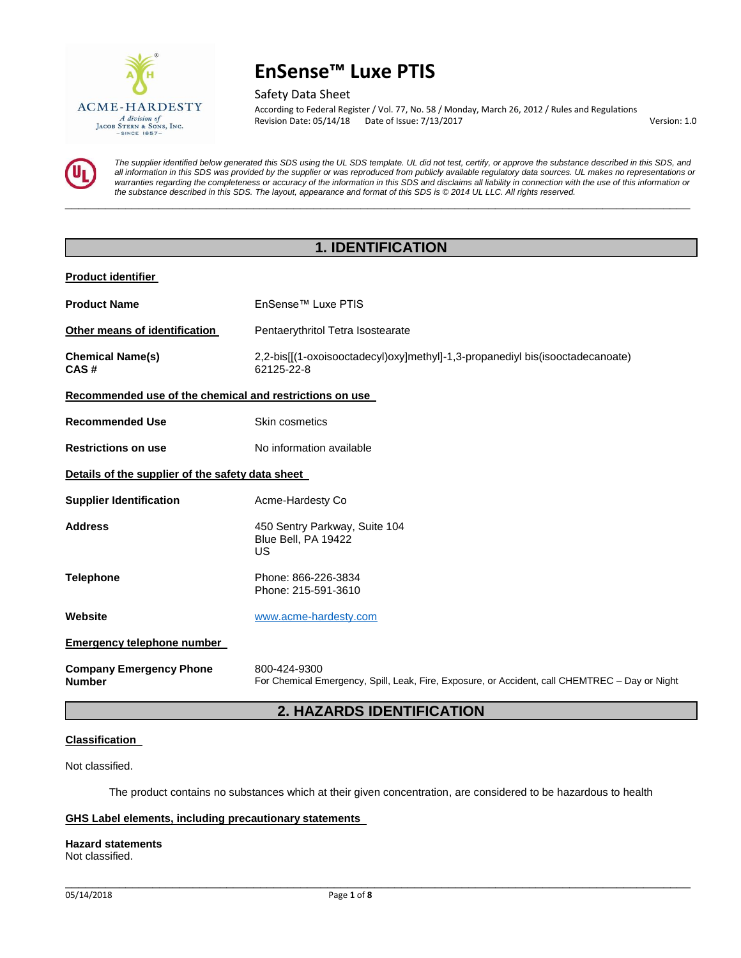

Safety Data Sheet

According to Federal Register / Vol. 77, No. 58 / Monday, March 26, 2012 / Rules and Regulations Revision Date: 05/14/18 Date of Issue: 7/13/2017 Version: 1.0

*The supplier identified below generated this SDS using the UL SDS template. UL did not test, certify, or approve the substance described in this SDS, and all information in this SDS was provided by the supplier or was reproduced from publicly available regulatory data sources. UL makes no representations or warranties regarding the completeness or accuracy of the information in this SDS and disclaims all liability in connection with the use of this information or the substance described in this SDS. The layout, appearance and format of this SDS is © 2014 UL LLC. All rights reserved.* 

# **1. IDENTIFICATION**

**\_\_\_\_\_\_\_\_\_\_\_\_\_\_\_\_\_\_\_\_\_\_\_\_\_\_\_\_\_\_\_\_\_\_\_\_\_\_\_\_\_\_\_\_\_\_\_\_\_\_\_\_\_\_\_\_\_\_\_\_\_\_\_\_\_\_\_\_\_\_\_\_\_\_\_\_\_\_\_\_\_\_\_\_\_\_\_\_\_\_\_\_\_** 

### **Product identifier**

| <b>Product Name</b>                                     | EnSense™ Luxe PTIS                                                                                             |  |
|---------------------------------------------------------|----------------------------------------------------------------------------------------------------------------|--|
| Other means of identification                           | Pentaerythritol Tetra Isostearate                                                                              |  |
| <b>Chemical Name(s)</b><br>CAS#                         | 2,2-bis[[(1-oxoisooctadecyl)oxy]methyl]-1,3-propanediyl bis(isooctadecanoate)<br>62125-22-8                    |  |
| Recommended use of the chemical and restrictions on use |                                                                                                                |  |
| <b>Recommended Use</b>                                  | Skin cosmetics                                                                                                 |  |
| <b>Restrictions on use</b>                              | No information available                                                                                       |  |
| Details of the supplier of the safety data sheet        |                                                                                                                |  |
| <b>Supplier Identification</b>                          | Acme-Hardesty Co                                                                                               |  |
| <b>Address</b>                                          | 450 Sentry Parkway, Suite 104<br>Blue Bell, PA 19422<br>US                                                     |  |
| <b>Telephone</b>                                        | Phone: 866-226-3834<br>Phone: 215-591-3610                                                                     |  |
| Website                                                 | www.acme-hardesty.com                                                                                          |  |
| <b>Emergency telephone number</b>                       |                                                                                                                |  |
| <b>Company Emergency Phone</b><br><b>Number</b>         | 800-424-9300<br>For Chemical Emergency, Spill, Leak, Fire, Exposure, or Accident, call CHEMTREC - Day or Night |  |

# **2. HAZARDS IDENTIFICATION**

# **Classification**

Not classified.

The product contains no substances which at their given concentration, are considered to be hazardous to health

\_\_\_\_\_\_\_\_\_\_\_\_\_\_\_\_\_\_\_\_\_\_\_\_\_\_\_\_\_\_\_\_\_\_\_\_\_\_\_\_\_\_\_\_\_\_\_\_\_\_\_\_\_\_\_\_\_\_\_\_\_\_\_\_\_\_\_\_\_\_\_\_\_\_\_\_\_\_\_\_\_\_\_\_\_\_\_\_\_\_\_\_\_

# **GHS Label elements, including precautionary statements**

### **Hazard statements**

Not classified.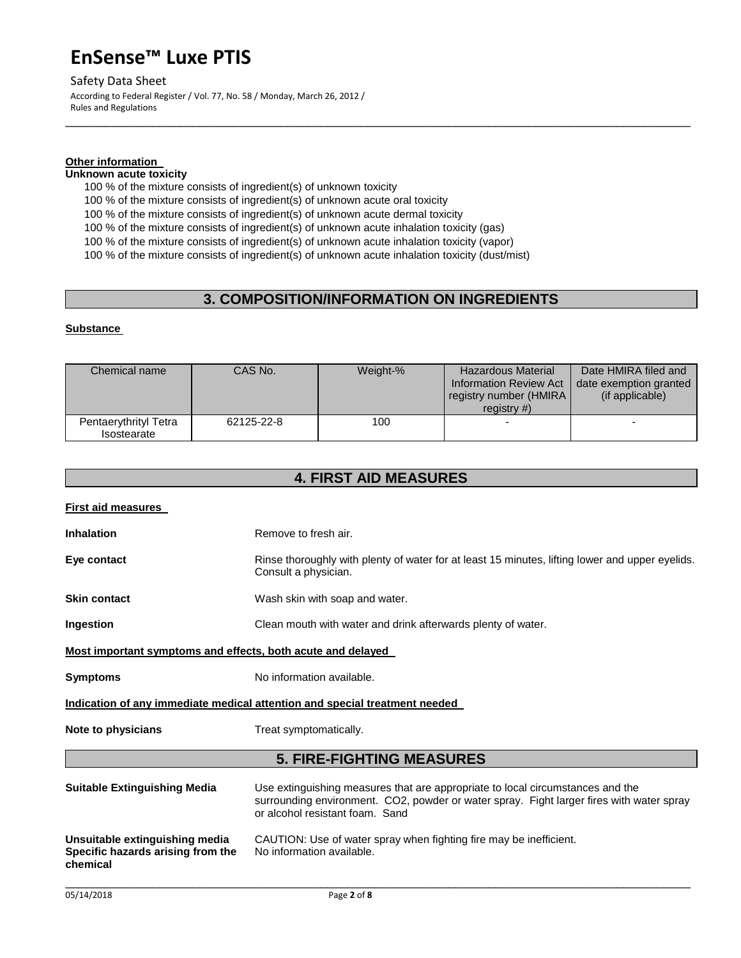# Safety Data Sheet

According to Federal Register / Vol. 77, No. 58 / Monday, March 26, 2012 / Rules and Regulations

# **Other information**

# **Unknown acute toxicity**

100 % of the mixture consists of ingredient(s) of unknown toxicity

100 % of the mixture consists of ingredient(s) of unknown acute oral toxicity

100 % of the mixture consists of ingredient(s) of unknown acute dermal toxicity

100 % of the mixture consists of ingredient(s) of unknown acute inhalation toxicity (gas)

100 % of the mixture consists of ingredient(s) of unknown acute inhalation toxicity (vapor)

100 % of the mixture consists of ingredient(s) of unknown acute inhalation toxicity (dust/mist)

# **3. COMPOSITION/INFORMATION ON INGREDIENTS**

\_\_\_\_\_\_\_\_\_\_\_\_\_\_\_\_\_\_\_\_\_\_\_\_\_\_\_\_\_\_\_\_\_\_\_\_\_\_\_\_\_\_\_\_\_\_\_\_\_\_\_\_\_\_\_\_\_\_\_\_\_\_\_\_\_\_\_\_\_\_\_\_\_\_\_\_\_\_\_\_\_\_\_\_\_\_\_\_\_\_\_\_\_

# **Substance**

| Chemical name                        | CAS No.    | Weight-% | <b>Hazardous Material</b><br><b>Information Review Act</b><br>registry number (HMIRA)<br>registry $#$ ) | Date HMIRA filed and<br>date exemption granted<br>(if applicable) |
|--------------------------------------|------------|----------|---------------------------------------------------------------------------------------------------------|-------------------------------------------------------------------|
| Pentaerythrityl Tetra<br>Isostearate | 62125-22-8 | 100      | $\overline{\phantom{0}}$                                                                                |                                                                   |

# **4. FIRST AID MEASURES**

| <b>First aid measures</b>                                                       |                                                                                                                                                                                                               |
|---------------------------------------------------------------------------------|---------------------------------------------------------------------------------------------------------------------------------------------------------------------------------------------------------------|
| <b>Inhalation</b>                                                               | Remove to fresh air.                                                                                                                                                                                          |
| Eye contact                                                                     | Rinse thoroughly with plenty of water for at least 15 minutes, lifting lower and upper eyelids.<br>Consult a physician.                                                                                       |
| <b>Skin contact</b>                                                             | Wash skin with soap and water.                                                                                                                                                                                |
| Ingestion                                                                       | Clean mouth with water and drink afterwards plenty of water.                                                                                                                                                  |
| Most important symptoms and effects, both acute and delayed                     |                                                                                                                                                                                                               |
| <b>Symptoms</b>                                                                 | No information available.                                                                                                                                                                                     |
|                                                                                 | Indication of any immediate medical attention and special treatment needed                                                                                                                                    |
| Note to physicians                                                              | Treat symptomatically.                                                                                                                                                                                        |
|                                                                                 | <b>5. FIRE-FIGHTING MEASURES</b>                                                                                                                                                                              |
| <b>Suitable Extinguishing Media</b>                                             | Use extinguishing measures that are appropriate to local circumstances and the<br>surrounding environment. CO2, powder or water spray. Fight larger fires with water spray<br>or alcohol resistant foam. Sand |
| Unsuitable extinguishing media<br>Specific hazards arising from the<br>chemical | CAUTION: Use of water spray when fighting fire may be inefficient.<br>No information available.                                                                                                               |

 $\Box$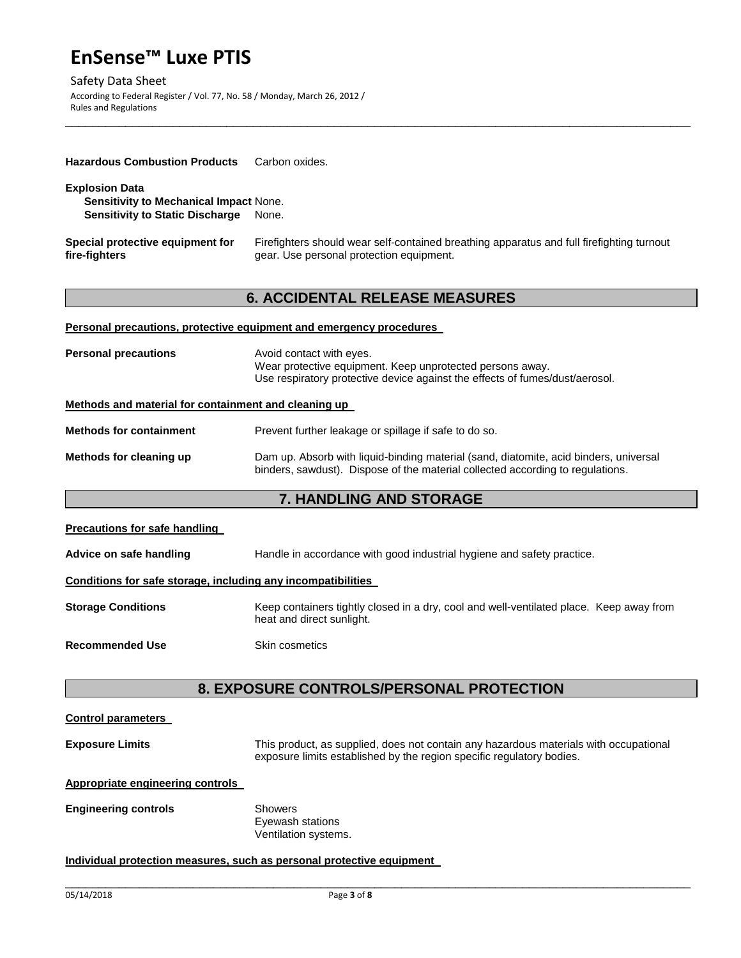Safety Data Sheet According to Federal Register / Vol. 77, No. 58 / Monday, March 26, 2012 / Rules and Regulations

| <b>Hazardous Combustion Products</b>                                                                             | Carbon oxides.                                                                                                                                                          |
|------------------------------------------------------------------------------------------------------------------|-------------------------------------------------------------------------------------------------------------------------------------------------------------------------|
| <b>Explosion Data</b><br><b>Sensitivity to Mechanical Impact None.</b><br><b>Sensitivity to Static Discharge</b> | None.                                                                                                                                                                   |
| Special protective equipment for<br>fire-fighters                                                                | Firefighters should wear self-contained breathing apparatus and full firefighting turnout<br>gear. Use personal protection equipment.                                   |
|                                                                                                                  | <b>6. ACCIDENTAL RELEASE MEASURES</b>                                                                                                                                   |
|                                                                                                                  | <b>Personal precautions, protective equipment and emergency procedures</b>                                                                                              |
| <b>Personal precautions</b>                                                                                      | Avoid contact with eyes.<br>Wear protective equipment. Keep unprotected persons away.<br>Use respiratory protective device against the effects of fumes/dust/aerosol.   |
| Methods and material for containment and cleaning up                                                             |                                                                                                                                                                         |
| <b>Methods for containment</b>                                                                                   | Prevent further leakage or spillage if safe to do so.                                                                                                                   |
| Methods for cleaning up                                                                                          | Dam up. Absorb with liquid-binding material (sand, diatomite, acid binders, universal<br>binders, sawdust). Dispose of the material collected according to regulations. |
| <b>7. HANDLING AND STORAGE</b>                                                                                   |                                                                                                                                                                         |
| <b>Precautions for safe handling</b>                                                                             |                                                                                                                                                                         |
| Advice on safe handling                                                                                          | Handle in accordance with good industrial hygiene and safety practice.                                                                                                  |

\_\_\_\_\_\_\_\_\_\_\_\_\_\_\_\_\_\_\_\_\_\_\_\_\_\_\_\_\_\_\_\_\_\_\_\_\_\_\_\_\_\_\_\_\_\_\_\_\_\_\_\_\_\_\_\_\_\_\_\_\_\_\_\_\_\_\_\_\_\_\_\_\_\_\_\_\_\_\_\_\_\_\_\_\_\_\_\_\_\_\_\_\_

# **Conditions for safe storage, including any incompatibilities**

| <b>Storage Conditions</b> | Keep containers tightly closed in a dry, cool and well-ventilated place. Keep away from |  |
|---------------------------|-----------------------------------------------------------------------------------------|--|
|                           | heat and direct sunlight.                                                               |  |

# **Recommended Use <b>Skin** cosmetics

# **8. EXPOSURE CONTROLS/PERSONAL PROTECTION**

# **Control parameters**

**Exposure Limits** This product, as supplied, does not contain any hazardous materials with occupational exposure limits established by the region specific regulatory bodies.

 $\Box$ 

# **Appropriate engineering controls**

**Engineering controls Showers** 

Eyewash stations Ventilation systems.

# **Individual protection measures, such as personal protective equipment**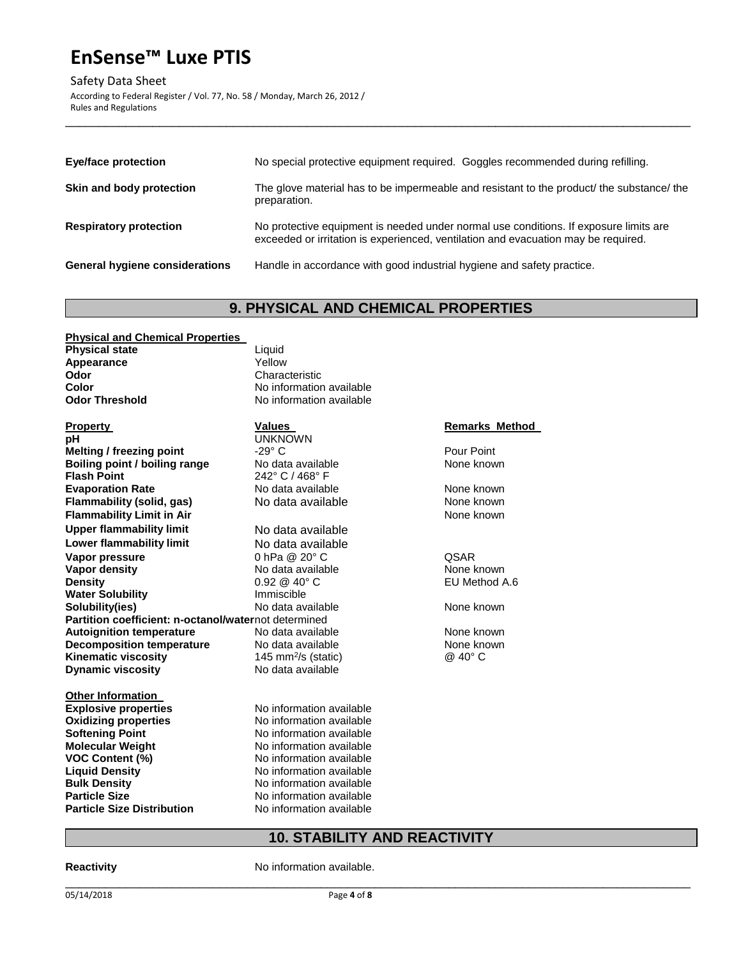Safety Data Sheet

According to Federal Register / Vol. 77, No. 58 / Monday, March 26, 2012 / Rules and Regulations

| Eye/face protection                   | No special protective equipment required. Goggles recommended during refilling.                                                                                             |
|---------------------------------------|-----------------------------------------------------------------------------------------------------------------------------------------------------------------------------|
| Skin and body protection              | The glove material has to be impermeable and resistant to the product/ the substance/ the<br>preparation.                                                                   |
| <b>Respiratory protection</b>         | No protective equipment is needed under normal use conditions. If exposure limits are<br>exceeded or irritation is experienced, ventilation and evacuation may be required. |
| <b>General hygiene considerations</b> | Handle in accordance with good industrial hygiene and safety practice.                                                                                                      |

\_\_\_\_\_\_\_\_\_\_\_\_\_\_\_\_\_\_\_\_\_\_\_\_\_\_\_\_\_\_\_\_\_\_\_\_\_\_\_\_\_\_\_\_\_\_\_\_\_\_\_\_\_\_\_\_\_\_\_\_\_\_\_\_\_\_\_\_\_\_\_\_\_\_\_\_\_\_\_\_\_\_\_\_\_\_\_\_\_\_\_\_\_

# **9. PHYSICAL AND CHEMICAL PROPERTIES**

# **Physical and Chemical Properties Physical state Liquid Appearance Liquid Appearance** Appearance<br>Odor

**pH** UNKNOWN **Melting / freezing point -29° C** Pour Point **Boiling point / boiling range** No data available None known **Flash Point** 242° C / 468° F **Evaporation Rate 19th Contract Contract Available 19th Cone Room None known Flammability (solid, gas)** No data available None known **Flammability Limit in Air**  None known **None known Upper flammability limit** No data available **Lower flammability limit** No data available **Vapor pressure** 0 hPa @ 20° C QSAR **Vapor density** No data available None known **Density Density Density Density Density Density Density Density Density Density Density Density Density Density Density Density Density Density Density Density Density Density D Water Solubility** Immiscible **Solubility(ies) No data available None known** None known Partition coefficient: n-octanol/waternot determined **Autoignition temperature 1992 Cone Autors None Known None known Decomposition temperature** No data available **None known Kinematic viscosity Dynamic viscosity No data available** 

# **Other Information Explosive properties** No information available **Oxidizing properties** No information available **Softening Point 1988 Consumersion Consumer Softening Point American**<br>
No information available<br>
No information available **Molecular Weight** No information available<br> **VOC Content (%)** No information available **VOC Content (%) No information available Liquid Density No information available Bulk Density No information available Particle Size No information available**

**Odor** Characteristic **Color**<br> **Color Threshold**<br> **No information available**<br> **No information available No information available** 

# 145 mm<sup>2</sup>/s (static)  $\qquad \qquad \textcircled{a}$  40° C

**Liquid Density** No information available **Particle Size Distribution No information available** 

# **Property Construction Constraints Values Values Remarks Method**

# **10. STABILITY AND REACTIVITY**

# **Reactivity No information available.**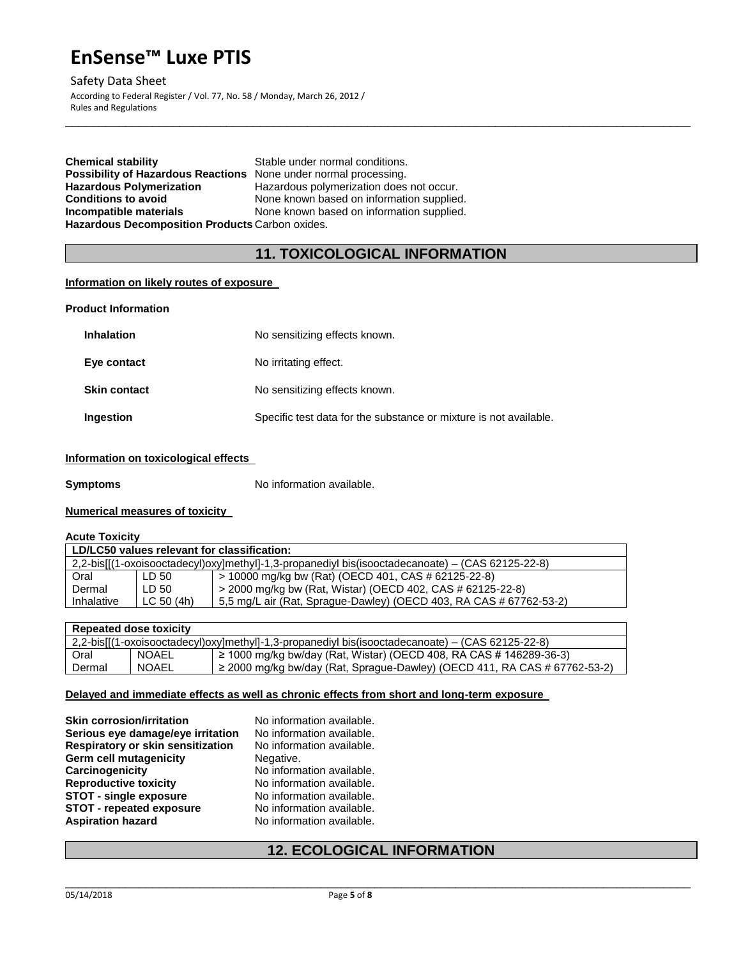# Safety Data Sheet

According to Federal Register / Vol. 77, No. 58 / Monday, March 26, 2012 / Rules and Regulations

| <b>Chemical stability</b>                                               | Stable under normal conditions.           |
|-------------------------------------------------------------------------|-------------------------------------------|
| <b>Possibility of Hazardous Reactions</b> None under normal processing. |                                           |
| <b>Hazardous Polymerization</b>                                         | Hazardous polymerization does not occur.  |
| <b>Conditions to avoid</b>                                              | None known based on information supplied. |
| Incompatible materials                                                  | None known based on information supplied. |
| Hazardous Decomposition Products Carbon oxides.                         |                                           |

# **11. TOXICOLOGICAL INFORMATION**

\_\_\_\_\_\_\_\_\_\_\_\_\_\_\_\_\_\_\_\_\_\_\_\_\_\_\_\_\_\_\_\_\_\_\_\_\_\_\_\_\_\_\_\_\_\_\_\_\_\_\_\_\_\_\_\_\_\_\_\_\_\_\_\_\_\_\_\_\_\_\_\_\_\_\_\_\_\_\_\_\_\_\_\_\_\_\_\_\_\_\_\_\_

# **Information on likely routes of exposure**

| <b>Product Information</b> |                                                                   |
|----------------------------|-------------------------------------------------------------------|
| Inhalation                 | No sensitizing effects known.                                     |
| Eye contact                | No irritating effect.                                             |
| <b>Skin contact</b>        | No sensitizing effects known.                                     |
| Ingestion                  | Specific test data for the substance or mixture is not available. |
|                            |                                                                   |

# **Information on toxicological effects**

**Symptoms** No information available.

# **Numerical measures of toxicity**

# **Acute Toxicity**

| LD/LC50 values relevant for classification:                                                         |            |                                                                        |
|-----------------------------------------------------------------------------------------------------|------------|------------------------------------------------------------------------|
| $2,2$ -bis[[(1-oxoisooctadecyl)oxy]methyl]-1,3-propanediyl bis(isooctadecanoate) – (CAS 62125-22-8) |            |                                                                        |
| Oral                                                                                                | LD 50      | > 10000 mg/kg bw (Rat) (OECD 401, CAS # 62125-22-8)                    |
| Dermal                                                                                              | LD 50      | > 2000 mg/kg bw (Rat, Wistar) (OECD 402, CAS # 62125-22-8)             |
| Inhalative                                                                                          | LC 50 (4h) | $1$ 5,5 mg/L air (Rat, Sprague-Dawley) (OECD 403, RA CAS # 67762-53-2) |

| <b>Repeated dose toxicity</b> |              |                                                                                                     |
|-------------------------------|--------------|-----------------------------------------------------------------------------------------------------|
|                               |              | $2,2$ -bis[[(1-oxoisooctadecyl)oxy]methyl]-1,3-propanediyl bis(isooctadecanoate) – (CAS 62125-22-8) |
| Oral                          | <b>NOAEL</b> | $'$ ≥ 1000 mg/kg bw/day (Rat, Wistar) (OECD 408, RA CAS # 146289-36-3)                              |
| Dermal                        | NOAEL        | $\ge$ 2000 mg/kg bw/day (Rat, Sprague-Dawley) (OECD 411, RA CAS # 67762-53-2)                       |

# **Delayed and immediate effects as well as chronic effects from short and long-term exposure**

| <b>Skin corrosion/irritation</b>  | No information available. |
|-----------------------------------|---------------------------|
| Serious eye damage/eye irritation | No information available. |
| Respiratory or skin sensitization | No information available. |
| Germ cell mutagenicity            | Negative.                 |
| Carcinogenicity                   | No information available. |
| <b>Reproductive toxicity</b>      | No information available. |
| <b>STOT - single exposure</b>     | No information available. |
| <b>STOT - repeated exposure</b>   | No information available. |
| <b>Aspiration hazard</b>          | No information available. |

# **12. ECOLOGICAL INFORMATION**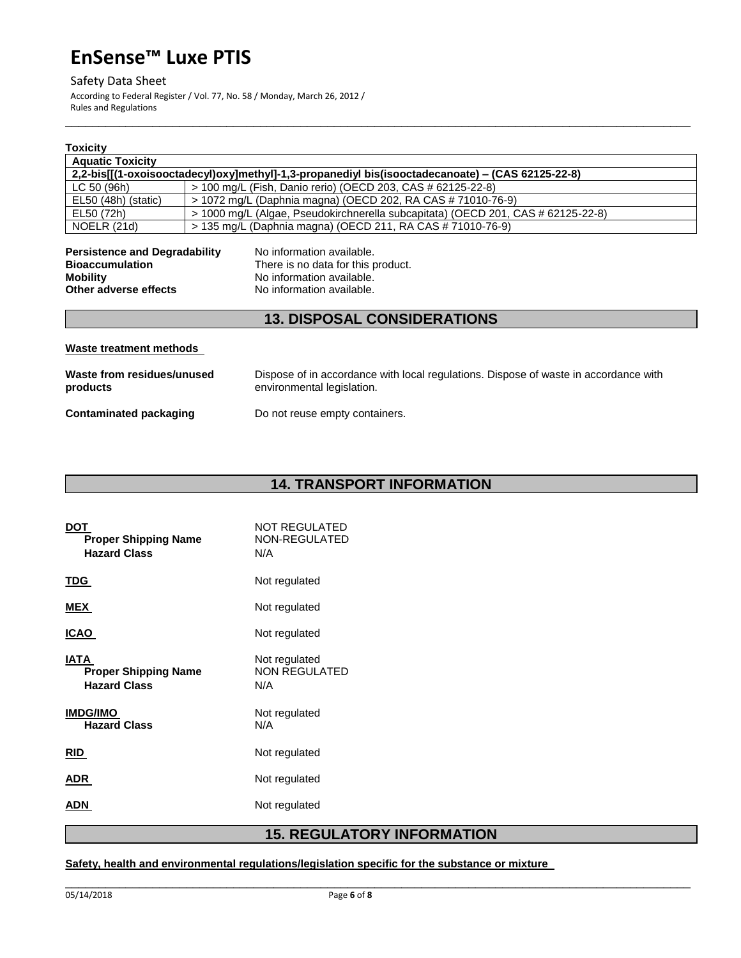# Safety Data Sheet

According to Federal Register / Vol. 77, No. 58 / Monday, March 26, 2012 / Rules and Regulations

| Toxicitv                                                                                                                                                                                                                                |                                                                                                                    |
|-----------------------------------------------------------------------------------------------------------------------------------------------------------------------------------------------------------------------------------------|--------------------------------------------------------------------------------------------------------------------|
| <b>Aquatic Toxicity</b>                                                                                                                                                                                                                 |                                                                                                                    |
|                                                                                                                                                                                                                                         | 2,2-bis[[(1-oxoisooctadecyl)oxy]methyl]-1,3-propanediyl bis(isooctadecanoate) – (CAS 62125-22-8)                   |
| LC 50 (96h)                                                                                                                                                                                                                             | > 100 mg/L (Fish, Danio rerio) (OECD 203, CAS # 62125-22-8)                                                        |
| EL50 (48h) (static)                                                                                                                                                                                                                     | > 1072 mg/L (Daphnia magna) (OECD 202, RA CAS # 71010-76-9)                                                        |
| EL50 (72h)                                                                                                                                                                                                                              | > 1000 mg/L (Algae, Pseudokirchnerella subcapitata) (OECD 201, CAS # 62125-22-8)                                   |
| NOELR (21d)                                                                                                                                                                                                                             | > 135 mg/L (Daphnia magna) (OECD 211, RA CAS # 71010-76-9)                                                         |
| <b>Persistence and Degradability</b><br>No information available.<br><b>Bioaccumulation</b><br>There is no data for this product.<br>No information available.<br><b>Mobility</b><br>Other adverse effects<br>No information available. |                                                                                                                    |
|                                                                                                                                                                                                                                         | <b>13. DISPOSAL CONSIDERATIONS</b>                                                                                 |
| Waste treatment methods                                                                                                                                                                                                                 |                                                                                                                    |
| Waste from residues/unused<br>products                                                                                                                                                                                                  | Dispose of in accordance with local regulations. Dispose of waste in accordance with<br>environmental legislation. |
| Contaminated packaging                                                                                                                                                                                                                  | Do not reuse empty containers.                                                                                     |

\_\_\_\_\_\_\_\_\_\_\_\_\_\_\_\_\_\_\_\_\_\_\_\_\_\_\_\_\_\_\_\_\_\_\_\_\_\_\_\_\_\_\_\_\_\_\_\_\_\_\_\_\_\_\_\_\_\_\_\_\_\_\_\_\_\_\_\_\_\_\_\_\_\_\_\_\_\_\_\_\_\_\_\_\_\_\_\_\_\_\_\_\_

# **14. TRANSPORT INFORMATION**

| DOT<br><b>Proper Shipping Name</b><br><b>Hazard Class</b>  | NOT REGULATED<br>NON-REGULATED<br>N/A        |  |
|------------------------------------------------------------|----------------------------------------------|--|
| TDG.                                                       | Not regulated                                |  |
| MEX                                                        | Not regulated                                |  |
| ICAO                                                       | Not regulated                                |  |
| IATA<br><b>Proper Shipping Name</b><br><b>Hazard Class</b> | Not regulated<br><b>NON REGULATED</b><br>N/A |  |
| IMDG/IMO<br><b>Hazard Class</b>                            | Not regulated<br>N/A                         |  |
| RID.                                                       | Not regulated                                |  |
| ADR                                                        | Not regulated                                |  |
| ADN                                                        | Not regulated                                |  |

# **15. REGULATORY INFORMATION**

# **Safety, health and environmental regulations/legislation specific for the substance or mixture**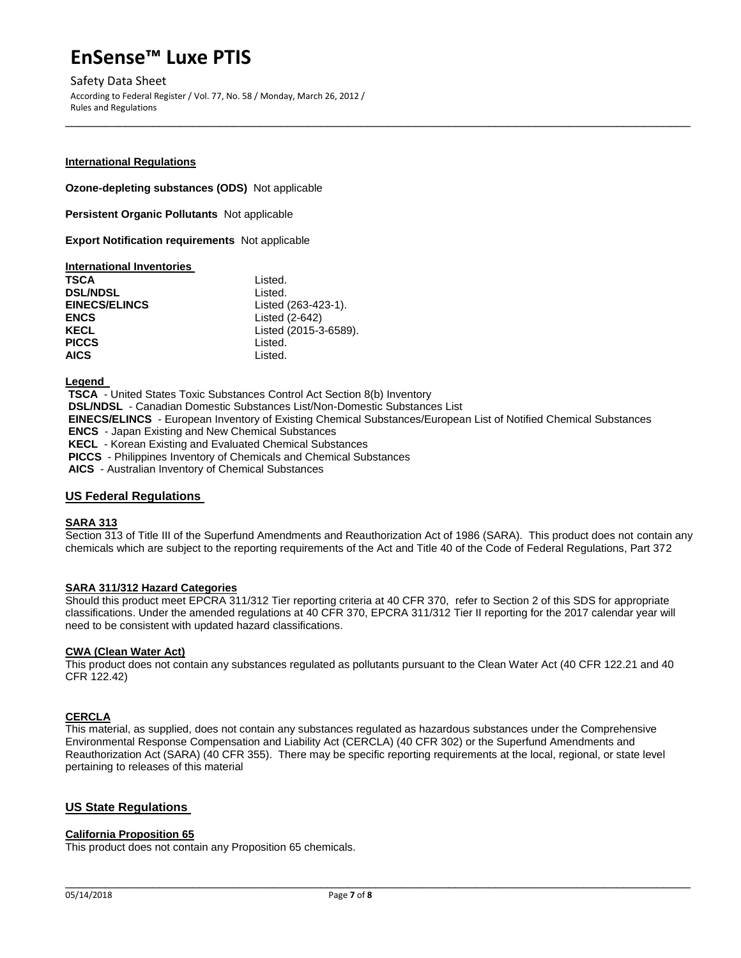Safety Data Sheet According to Federal Register / Vol. 77, No. 58 / Monday, March 26, 2012 / Rules and Regulations

### **International Regulations**

**Ozone-depleting substances (ODS)** Not applicable

**Persistent Organic Pollutants** Not applicable

**Export Notification requirements** Not applicable

### **International Inventories**

| TSCA                 | Listed.               |
|----------------------|-----------------------|
| <b>DSL/NDSL</b>      | Listed.               |
| <b>EINECS/ELINCS</b> | Listed (263-423-1).   |
| <b>ENCS</b>          | Listed (2-642)        |
| KECL                 | Listed (2015-3-6589). |
| <b>PICCS</b>         | Listed.               |
| <b>AICS</b>          | Listed.               |

**Legend** 

**TSCA** - United States Toxic Substances Control Act Section 8(b) Inventory **DSL/NDSL** - Canadian Domestic Substances List/Non-Domestic Substances List **EINECS/ELINCS** - European Inventory of Existing Chemical Substances/European List of Notified Chemical Substances **ENCS** - Japan Existing and New Chemical Substances **KECL** - Korean Existing and Evaluated Chemical Substances **PICCS** - Philippines Inventory of Chemicals and Chemical Substances **AICS** - Australian Inventory of Chemical Substances

\_\_\_\_\_\_\_\_\_\_\_\_\_\_\_\_\_\_\_\_\_\_\_\_\_\_\_\_\_\_\_\_\_\_\_\_\_\_\_\_\_\_\_\_\_\_\_\_\_\_\_\_\_\_\_\_\_\_\_\_\_\_\_\_\_\_\_\_\_\_\_\_\_\_\_\_\_\_\_\_\_\_\_\_\_\_\_\_\_\_\_\_\_

# **US Federal Regulations**

# **SARA 313**

Section 313 of Title III of the Superfund Amendments and Reauthorization Act of 1986 (SARA). This product does not contain any chemicals which are subject to the reporting requirements of the Act and Title 40 of the Code of Federal Regulations, Part 372

# **SARA 311/312 Hazard Categories**

Should this product meet EPCRA 311/312 Tier reporting criteria at 40 CFR 370, refer to Section 2 of this SDS for appropriate classifications. Under the amended regulations at 40 CFR 370, EPCRA 311/312 Tier II reporting for the 2017 calendar year will need to be consistent with updated hazard classifications.

# **CWA (Clean Water Act)**

This product does not contain any substances regulated as pollutants pursuant to the Clean Water Act (40 CFR 122.21 and 40 CFR 122.42)

# **CERCLA**

This material, as supplied, does not contain any substances regulated as hazardous substances under the Comprehensive Environmental Response Compensation and Liability Act (CERCLA) (40 CFR 302) or the Superfund Amendments and Reauthorization Act (SARA) (40 CFR 355). There may be specific reporting requirements at the local, regional, or state level pertaining to releases of this material

# **US State Regulations**

# **California Proposition 65**

This product does not contain any Proposition 65 chemicals.

 $\Box$